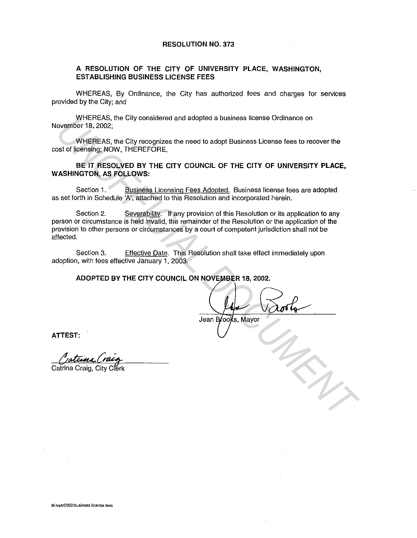#### **RESOLUTION NO. 373**

### **A RESOLUTION OF THE CITY OF UNIVERSITY PLACE, WASHINGTON, ESTABLISHING BUSINESS LICENSE FEES**

WHEREAS, By Ordinance, the City has authorized fees and charges for services provided by the City; and

WHEREAS, the City considered and adopted a business license Ordinance on November 18, 2002;

WHEREAS, the City recognizes the need to adopt Business License fees to recover the cost of licensing; NOW, THEREFORE.

**BE IT RESOLVED BY THE CITY COUNCIL OF THE CITY OF UNIVERSITY PLACE, WASHINGTON, AS FOLLOWS:** 

Section 1. Business Licensing Fees Adopted. Business license fees are adopted as set forth in Schedule 'A', attached to this Resolution and incorporated herein.

Section 2. Severability. If any provision of this Resolution or its application to any person or circumstance is held invalid, the remainder of the Resolution or the application of the provision to other persons or circumstances by a court of competent jurisdiction shall not be affected. WHEHEAS, the City considered and adopted a business icanse Ordinance on<br>
WHEHEAS, the City recognizes the need to adopt Business License for a to encover the<br>
Bust of Islensing; NOW, THEREFORE,<br> **UNIFICIAL DUMENTA COUNCIL** 

Section 3. Effective Date. This Resolution shall take effect immediately upon adoption, with fees effective January 1, 2003.

**ADOPTED BY THE CITY COUNCIL ON NOVEMBER 18, 2002.** 

Jean Brooks, Mayor

**ATTEST:** 

Catrina Craig, City Clerk